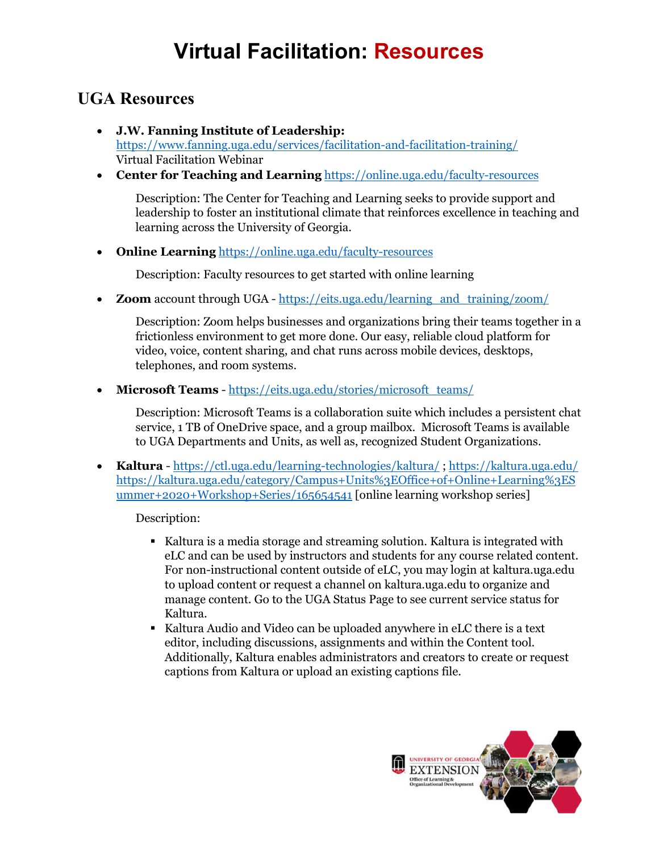# **Virtual Facilitation: Resources**

### **UGA Resources**

- **J.W. Fanning Institute of Leadership:**  https://www.fanning.uga.edu/services/facilitation-and-facilitation-training/ Virtual Facilitation Webinar
- **Center for Teaching and Learning** https://online.uga.edu/faculty-resources

Description: The Center for Teaching and Learning seeks to provide support and leadership to foster an institutional climate that reinforces excellence in teaching and learning across the University of Georgia.

**Online Learning** https://online.uga.edu/faculty-resources

Description: Faculty resources to get started with online learning

**Zoom** account through UGA - https://eits.uga.edu/learning\_and\_training/zoom/

Description: Zoom helps businesses and organizations bring their teams together in a frictionless environment to get more done. Our easy, reliable cloud platform for video, voice, content sharing, and chat runs across mobile devices, desktops, telephones, and room systems.

**Microsoft Teams** - https://eits.uga.edu/stories/microsoft\_teams/

Description: Microsoft Teams is a collaboration suite which includes a persistent chat service, 1 TB of OneDrive space, and a group mailbox. Microsoft Teams is available to UGA Departments and Units, as well as, recognized Student Organizations.

 **Kaltura** - https://ctl.uga.edu/learning-technologies/kaltura/ ; https://kaltura.uga.edu/ https://kaltura.uga.edu/category/Campus+Units%3EOffice+of+Online+Learning%3ES ummer+2020+Workshop+Series/165654541 [online learning workshop series]

Description:

- Kaltura is a media storage and streaming solution. Kaltura is integrated with eLC and can be used by instructors and students for any course related content. For non-instructional content outside of eLC, you may login at kaltura.uga.edu to upload content or request a channel on kaltura.uga.edu to organize and manage content. Go to the UGA Status Page to see current service status for Kaltura.
- Kaltura Audio and Video can be uploaded anywhere in eLC there is a text editor, including discussions, assignments and within the Content tool. Additionally, Kaltura enables administrators and creators to create or request captions from Kaltura or upload an existing captions file.